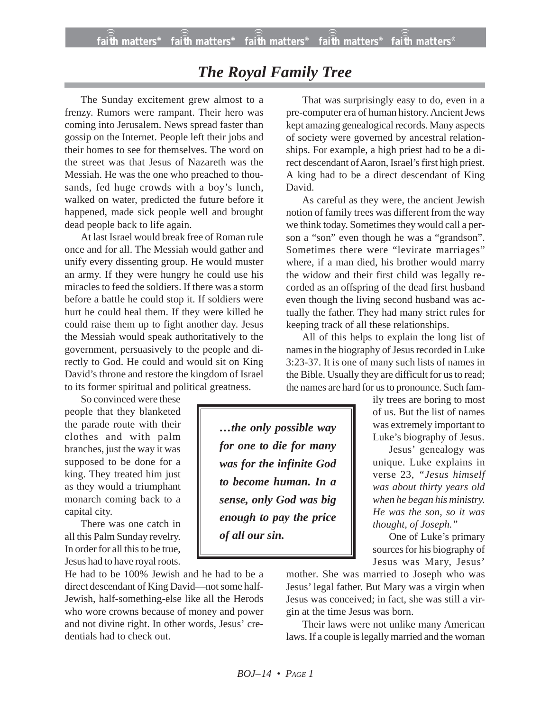## *The Royal Family Tree*

The Sunday excitement grew almost to a frenzy. Rumors were rampant. Their hero was coming into Jerusalem. News spread faster than gossip on the Internet. People left their jobs and their homes to see for themselves. The word on the street was that Jesus of Nazareth was the Messiah. He was the one who preached to thousands, fed huge crowds with a boy's lunch, walked on water, predicted the future before it happened, made sick people well and brought dead people back to life again.

At last Israel would break free of Roman rule once and for all. The Messiah would gather and unify every dissenting group. He would muster an army. If they were hungry he could use his miracles to feed the soldiers. If there was a storm before a battle he could stop it. If soldiers were hurt he could heal them. If they were killed he could raise them up to fight another day. Jesus the Messiah would speak authoritatively to the government, persuasively to the people and directly to God. He could and would sit on King David's throne and restore the kingdom of Israel to its former spiritual and political greatness.

So convinced were these people that they blanketed the parade route with their clothes and with palm branches, just the way it was supposed to be done for a king. They treated him just as they would a triumphant monarch coming back to a capital city.

There was one catch in all this Palm Sunday revelry. In order for all this to be true, Jesus had to have royal roots.

He had to be 100% Jewish and he had to be a direct descendant of King David—not some half-Jewish, half-something-else like all the Herods who wore crowns because of money and power and not divine right. In other words, Jesus' credentials had to check out.

That was surprisingly easy to do, even in a pre-computer era of human history. Ancient Jews kept amazing genealogical records. Many aspects of society were governed by ancestral relationships. For example, a high priest had to be a direct descendant of Aaron, Israel's first high priest. A king had to be a direct descendant of King David.

As careful as they were, the ancient Jewish notion of family trees was different from the way we think today. Sometimes they would call a person a "son" even though he was a "grandson". Sometimes there were "levirate marriages" where, if a man died, his brother would marry the widow and their first child was legally recorded as an offspring of the dead first husband even though the living second husband was actually the father. They had many strict rules for keeping track of all these relationships.

All of this helps to explain the long list of names in the biography of Jesus recorded in Luke 3:23-37. It is one of many such lists of names in the Bible. Usually they are difficult for us to read; the names are hard for us to pronounce. Such fam-

> ily trees are boring to most of us. But the list of names was extremely important to Luke's biography of Jesus.

Jesus' genealogy was unique. Luke explains in verse 23, *"Jesus himself was about thirty years old when he began his ministry. He was the son, so it was thought, of Joseph."*

One of Luke's primary sources for his biography of Jesus was Mary, Jesus'

mother. She was married to Joseph who was Jesus' legal father. But Mary was a virgin when Jesus was conceived; in fact, she was still a virgin at the time Jesus was born.

Their laws were not unlike many American laws. If a couple is legally married and the woman

*…the only possible way for one to die for many was for the infinite God to become human. In a sense, only God was big enough to pay the price of all our sin.*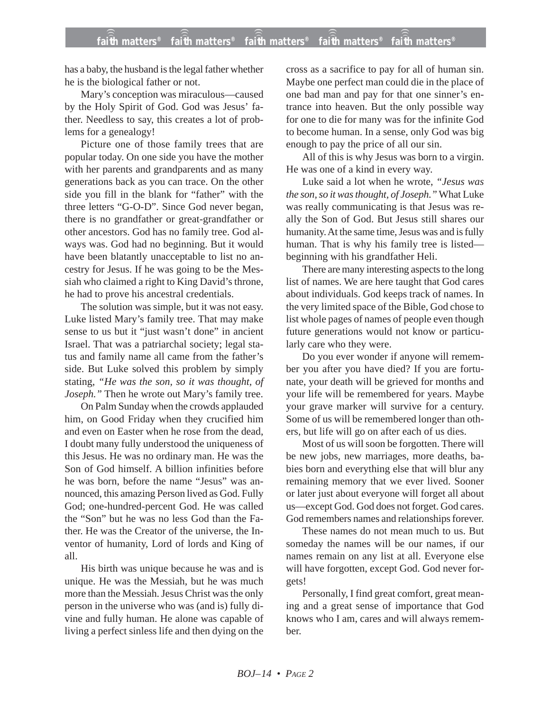has a baby, the husband is the legal father whether he is the biological father or not.

Mary's conception was miraculous—caused by the Holy Spirit of God. God was Jesus' father. Needless to say, this creates a lot of problems for a genealogy!

Picture one of those family trees that are popular today. On one side you have the mother with her parents and grandparents and as many generations back as you can trace. On the other side you fill in the blank for "father" with the three letters "G-O-D". Since God never began, there is no grandfather or great-grandfather or other ancestors. God has no family tree. God always was. God had no beginning. But it would have been blatantly unacceptable to list no ancestry for Jesus. If he was going to be the Messiah who claimed a right to King David's throne, he had to prove his ancestral credentials.

The solution was simple, but it was not easy. Luke listed Mary's family tree. That may make sense to us but it "just wasn't done" in ancient Israel. That was a patriarchal society; legal status and family name all came from the father's side. But Luke solved this problem by simply stating, *"He was the son, so it was thought, of Joseph."* Then he wrote out Mary's family tree.

On Palm Sunday when the crowds applauded him, on Good Friday when they crucified him and even on Easter when he rose from the dead, I doubt many fully understood the uniqueness of this Jesus. He was no ordinary man. He was the Son of God himself. A billion infinities before he was born, before the name "Jesus" was announced, this amazing Person lived as God. Fully God; one-hundred-percent God. He was called the "Son" but he was no less God than the Father. He was the Creator of the universe, the Inventor of humanity, Lord of lords and King of all.

His birth was unique because he was and is unique. He was the Messiah, but he was much more than the Messiah. Jesus Christ was the only person in the universe who was (and is) fully divine and fully human. He alone was capable of living a perfect sinless life and then dying on the

cross as a sacrifice to pay for all of human sin. Maybe one perfect man could die in the place of one bad man and pay for that one sinner's entrance into heaven. But the only possible way for one to die for many was for the infinite God to become human. In a sense, only God was big enough to pay the price of all our sin.

All of this is why Jesus was born to a virgin. He was one of a kind in every way.

Luke said a lot when he wrote, *"Jesus was the son, so it was thought, of Joseph."*What Luke was really communicating is that Jesus was really the Son of God. But Jesus still shares our humanity. At the same time, Jesus was and is fully human. That is why his family tree is listed beginning with his grandfather Heli.

There are many interesting aspects to the long list of names. We are here taught that God cares about individuals. God keeps track of names. In the very limited space of the Bible, God chose to list whole pages of names of people even though future generations would not know or particularly care who they were.

Do you ever wonder if anyone will remember you after you have died? If you are fortunate, your death will be grieved for months and your life will be remembered for years. Maybe your grave marker will survive for a century. Some of us will be remembered longer than others, but life will go on after each of us dies.

Most of us will soon be forgotten. There will be new jobs, new marriages, more deaths, babies born and everything else that will blur any remaining memory that we ever lived. Sooner or later just about everyone will forget all about us—except God. God does not forget. God cares. God remembers names and relationships forever.

These names do not mean much to us. But someday the names will be our names, if our names remain on any list at all. Everyone else will have forgotten, except God. God never forgets!

Personally, I find great comfort, great meaning and a great sense of importance that God knows who I am, cares and will always remember.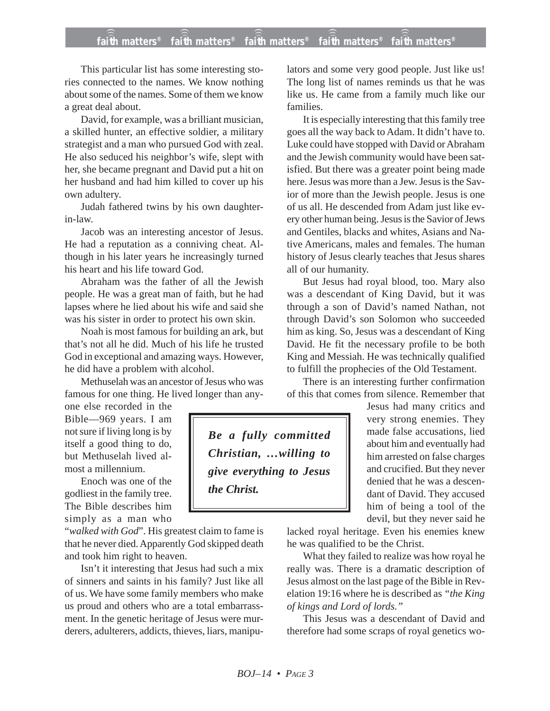## **faith matters® faith matters® faith matters® faith matters® faith matters®** ))) ))) ))) ))) )))

This particular list has some interesting stories connected to the names. We know nothing about some of the names. Some of them we know a great deal about.

David, for example, was a brilliant musician, a skilled hunter, an effective soldier, a military strategist and a man who pursued God with zeal. He also seduced his neighbor's wife, slept with her, she became pregnant and David put a hit on her husband and had him killed to cover up his own adultery.

Judah fathered twins by his own daughterin-law.

Jacob was an interesting ancestor of Jesus. He had a reputation as a conniving cheat. Although in his later years he increasingly turned his heart and his life toward God.

Abraham was the father of all the Jewish people. He was a great man of faith, but he had lapses where he lied about his wife and said she was his sister in order to protect his own skin.

Noah is most famous for building an ark, but that's not all he did. Much of his life he trusted God in exceptional and amazing ways. However, he did have a problem with alcohol.

Methuselah was an ancestor of Jesus who was famous for one thing. He lived longer than any-

one else recorded in the Bible—969 years. I am not sure if living long is by itself a good thing to do, but Methuselah lived almost a millennium.

Enoch was one of the godliest in the family tree. The Bible describes him simply as a man who

"*walked with God*". His greatest claim to fame is that he never died. Apparently God skipped death and took him right to heaven.

Isn't it interesting that Jesus had such a mix of sinners and saints in his family? Just like all of us. We have some family members who make us proud and others who are a total embarrassment. In the genetic heritage of Jesus were murderers, adulterers, addicts, thieves, liars, manipulators and some very good people. Just like us! The long list of names reminds us that he was like us. He came from a family much like our families.

It is especially interesting that this family tree goes all the way back to Adam. It didn't have to. Luke could have stopped with David or Abraham and the Jewish community would have been satisfied. But there was a greater point being made here. Jesus was more than a Jew. Jesus is the Savior of more than the Jewish people. Jesus is one of us all. He descended from Adam just like every other human being. Jesus is the Savior of Jews and Gentiles, blacks and whites, Asians and Native Americans, males and females. The human history of Jesus clearly teaches that Jesus shares all of our humanity.

But Jesus had royal blood, too. Mary also was a descendant of King David, but it was through a son of David's named Nathan, not through David's son Solomon who succeeded him as king. So, Jesus was a descendant of King David. He fit the necessary profile to be both King and Messiah. He was technically qualified to fulfill the prophecies of the Old Testament.

There is an interesting further confirmation of this that comes from silence. Remember that

> Jesus had many critics and very strong enemies. They made false accusations, lied about him and eventually had him arrested on false charges and crucified. But they never denied that he was a descendant of David. They accused him of being a tool of the devil, but they never said he

lacked royal heritage. Even his enemies knew

he was qualified to be the Christ. What they failed to realize was how royal he really was. There is a dramatic description of Jesus almost on the last page of the Bible in Revelation 19:16 where he is described as *"the King of kings and Lord of lords."*

This Jesus was a descendant of David and therefore had some scraps of royal genetics wo-

*Be a fully committed Christian, …willing to give everything to Jesus the Christ.*